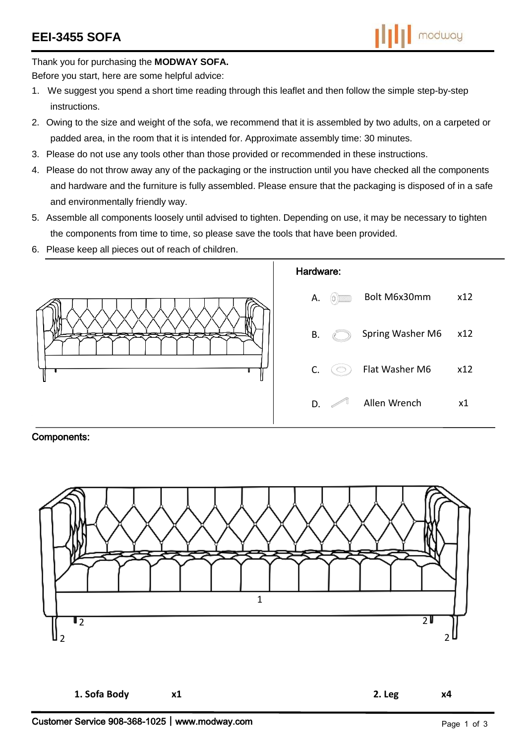Thank you for purchasing the **MODWAY SOFA.**

Before you start, here are some helpful advice:

- 1. We suggest you spend a short time reading through this leaflet and then follow the simple step-by-step instructions.
- 2. Owing to the size and weight of the sofa, we recommend that it is assembled by two adults, on a carpeted or padded area, in the room that it is intended for. Approximate assembly time: 30 minutes.
- 3. Please do not use any tools other than those provided or recommended in these instructions.
- 4. Please do not throw away any of the packaging or the instruction until you have checked all the components and hardware and the furniture is fully assembled. Please ensure that the packaging is disposed of in a safe and environmentally friendly way.
- 5. Assemble all components loosely until advised to tighten. Depending on use, it may be necessary to tighten the components from time to time, so please save the tools that have been provided.
- 6. Please keep all pieces out of reach of children.



## Components:

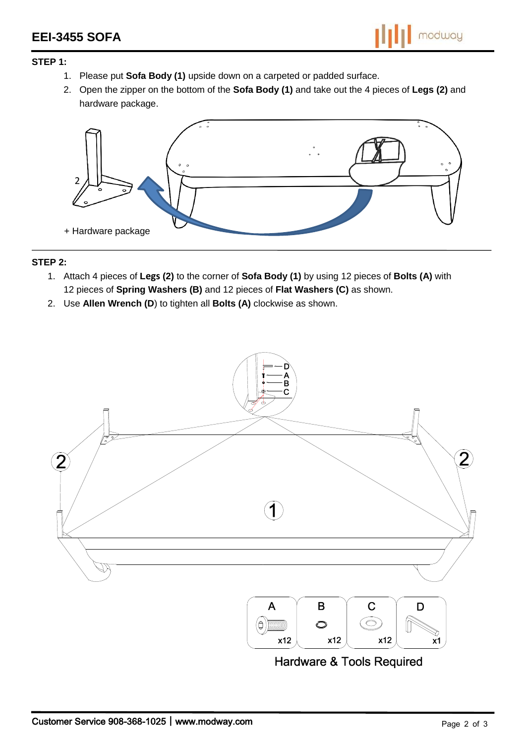## **STEP 1:**

- 1. Please put **Sofa Body (1)** upside down on a carpeted or padded surface.
- 2. Open the zipper on the bottom of the **Sofa Body (1)** and take out the 4 pieces of **Legs (2)** and hardware package.



## **STEP 2:**

- 1. Attach 4 pieces of **Legs (2)** to the corner of **Sofa Body (1)** by using 12 pieces of **Bolts (A)** with 12 pieces of **Spring Washers (B)** and 12 pieces of **Flat Washers (C)** as shown.
- 2. Use **Allen Wrench (D**) to tighten all **Bolts (A)** clockwise as shown.



**Hardware & Tools Required**